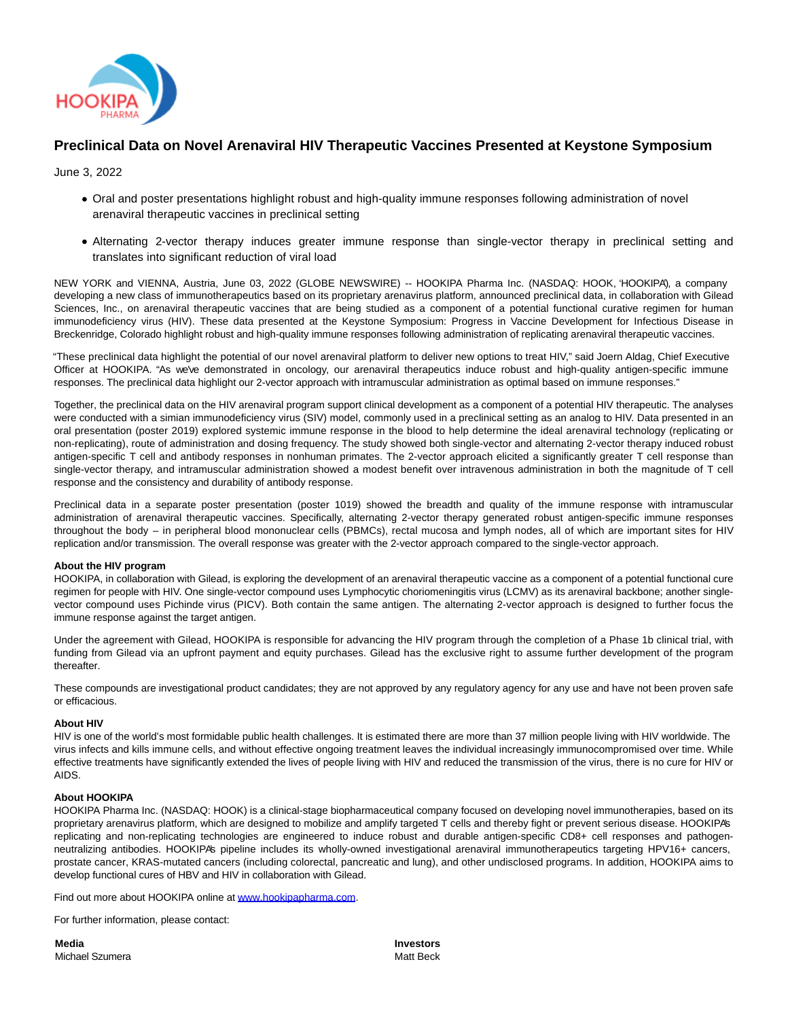

# **Preclinical Data on Novel Arenaviral HIV Therapeutic Vaccines Presented at Keystone Symposium**

June 3, 2022

- Oral and poster presentations highlight robust and high-quality immune responses following administration of novel arenaviral therapeutic vaccines in preclinical setting
- Alternating 2-vector therapy induces greater immune response than single-vector therapy in preclinical setting and translates into significant reduction of viral load

NEW YORK and VIENNA, Austria, June 03, 2022 (GLOBE NEWSWIRE) -- HOOKIPA Pharma Inc. (NASDAQ: HOOK, 'HOOKIPA'), a company developing a new class of immunotherapeutics based on its proprietary arenavirus platform, announced preclinical data, in collaboration with Gilead Sciences, Inc., on arenaviral therapeutic vaccines that are being studied as a component of a potential functional curative regimen for human immunodeficiency virus (HIV). These data presented at the Keystone Symposium: Progress in Vaccine Development for Infectious Disease in Breckenridge, Colorado highlight robust and high-quality immune responses following administration of replicating arenaviral therapeutic vaccines.

"These preclinical data highlight the potential of our novel arenaviral platform to deliver new options to treat HIV," said Joern Aldag, Chief Executive Officer at HOOKIPA. "As we've demonstrated in oncology, our arenaviral therapeutics induce robust and high-quality antigen-specific immune responses. The preclinical data highlight our 2-vector approach with intramuscular administration as optimal based on immune responses."

Together, the preclinical data on the HIV arenaviral program support clinical development as a component of a potential HIV therapeutic. The analyses were conducted with a simian immunodeficiency virus (SIV) model, commonly used in a preclinical setting as an analog to HIV. Data presented in an oral presentation (poster 2019) explored systemic immune response in the blood to help determine the ideal arenaviral technology (replicating or non-replicating), route of administration and dosing frequency. The study showed both single-vector and alternating 2-vector therapy induced robust antigen-specific T cell and antibody responses in nonhuman primates. The 2-vector approach elicited a significantly greater T cell response than single-vector therapy, and intramuscular administration showed a modest benefit over intravenous administration in both the magnitude of T cell response and the consistency and durability of antibody response.

Preclinical data in a separate poster presentation (poster 1019) showed the breadth and quality of the immune response with intramuscular administration of arenaviral therapeutic vaccines. Specifically, alternating 2-vector therapy generated robust antigen-specific immune responses throughout the body – in peripheral blood mononuclear cells (PBMCs), rectal mucosa and lymph nodes, all of which are important sites for HIV replication and/or transmission. The overall response was greater with the 2-vector approach compared to the single-vector approach.

## **About the HIV program**

HOOKIPA, in collaboration with Gilead, is exploring the development of an arenaviral therapeutic vaccine as a component of a potential functional cure regimen for people with HIV. One single-vector compound uses Lymphocytic choriomeningitis virus (LCMV) as its arenaviral backbone; another singlevector compound uses Pichinde virus (PICV). Both contain the same antigen. The alternating 2-vector approach is designed to further focus the immune response against the target antigen.

Under the agreement with Gilead, HOOKIPA is responsible for advancing the HIV program through the completion of a Phase 1b clinical trial, with funding from Gilead via an upfront payment and equity purchases. Gilead has the exclusive right to assume further development of the program thereafter.

These compounds are investigational product candidates; they are not approved by any regulatory agency for any use and have not been proven safe or efficacious.

#### **About HIV**

HIV is one of the world's most formidable public health challenges. It is estimated there are more than 37 million people living with HIV worldwide. The virus infects and kills immune cells, and without effective ongoing treatment leaves the individual increasingly immunocompromised over time. While effective treatments have significantly extended the lives of people living with HIV and reduced the transmission of the virus, there is no cure for HIV or AIDS.

#### **About HOOKIPA**

HOOKIPA Pharma Inc. (NASDAQ: HOOK) is a clinical-stage biopharmaceutical company focused on developing novel immunotherapies, based on its proprietary arenavirus platform, which are designed to mobilize and amplify targeted T cells and thereby fight or prevent serious disease. HOOKIPA's replicating and non-replicating technologies are engineered to induce robust and durable antigen-specific CD8+ cell responses and pathogenneutralizing antibodies. HOOKIPA's pipeline includes its wholly-owned investigational arenaviral immunotherapeutics targeting HPV16+ cancers, prostate cancer, KRAS-mutated cancers (including colorectal, pancreatic and lung), and other undisclosed programs. In addition, HOOKIPA aims to develop functional cures of HBV and HIV in collaboration with Gilead.

Find out more about HOOKIPA online at [www.hookipapharma.com.](https://www.globenewswire.com/Tracker?data=Kyfgs_jbJIDA3v14ICsOiwbh2kWklOm5eDzXsnYl_Za2wdw__MewaqrQGRIrldcYBZrLPwfFHD7OSc5tM-41H3TQMigX9dEW-IEw_riyj2Q=)

For further information, please contact:

**Media** Michael Szumera **Investors** Matt Beck